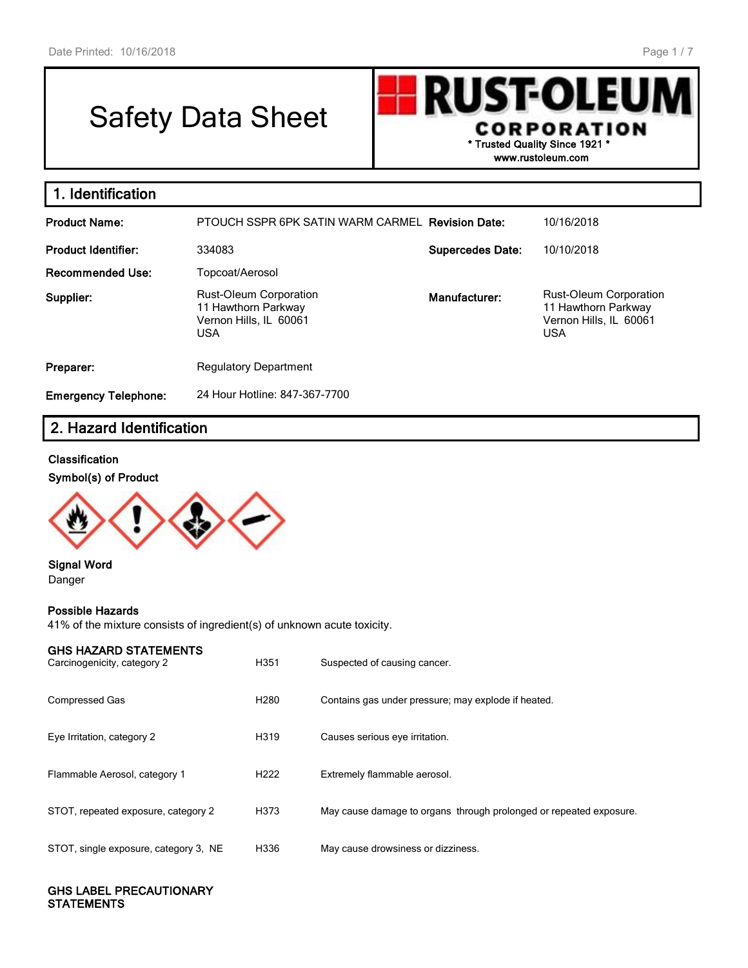# Safety Data Sheet

**UST-OLEU** R **CORPORATION \* Trusted Quality Since 1921 \* www.rustoleum.com**

| 1. Identification           |                                                                                              |                         |                                                                                              |
|-----------------------------|----------------------------------------------------------------------------------------------|-------------------------|----------------------------------------------------------------------------------------------|
| <b>Product Name:</b>        | PTOUCH SSPR 6PK SATIN WARM CARMEL Revision Date:                                             |                         | 10/16/2018                                                                                   |
| <b>Product Identifier:</b>  | 334083                                                                                       | <b>Supercedes Date:</b> | 10/10/2018                                                                                   |
| <b>Recommended Use:</b>     | Topcoat/Aerosol                                                                              |                         |                                                                                              |
| Supplier:                   | <b>Rust-Oleum Corporation</b><br>11 Hawthorn Parkway<br>Vernon Hills, IL 60061<br><b>USA</b> | Manufacturer:           | <b>Rust-Oleum Corporation</b><br>11 Hawthorn Parkway<br>Vernon Hills, IL 60061<br><b>USA</b> |
| Preparer:                   | <b>Regulatory Department</b>                                                                 |                         |                                                                                              |
| <b>Emergency Telephone:</b> | 24 Hour Hotline: 847-367-7700                                                                |                         |                                                                                              |

## **2. Hazard Identification**

#### **Classification**

г

#### **Symbol(s) of Product**



#### **Signal Word** Danger

#### **Possible Hazards**

41% of the mixture consists of ingredient(s) of unknown acute toxicity.

| <b>GHS HAZARD STATEMENTS</b><br>Carcinogenicity, category 2 | H351             | Suspected of causing cancer.                                       |
|-------------------------------------------------------------|------------------|--------------------------------------------------------------------|
| <b>Compressed Gas</b>                                       | H <sub>280</sub> | Contains gas under pressure; may explode if heated.                |
| Eye Irritation, category 2                                  | H319             | Causes serious eye irritation.                                     |
| Flammable Aerosol, category 1                               | H <sub>222</sub> | Extremely flammable aerosol.                                       |
| STOT, repeated exposure, category 2                         | H373             | May cause damage to organs through prolonged or repeated exposure. |
| STOT, single exposure, category 3, NE                       | H336             | May cause drowsiness or dizziness.                                 |

#### **GHS LABEL PRECAUTIONARY STATEMENTS**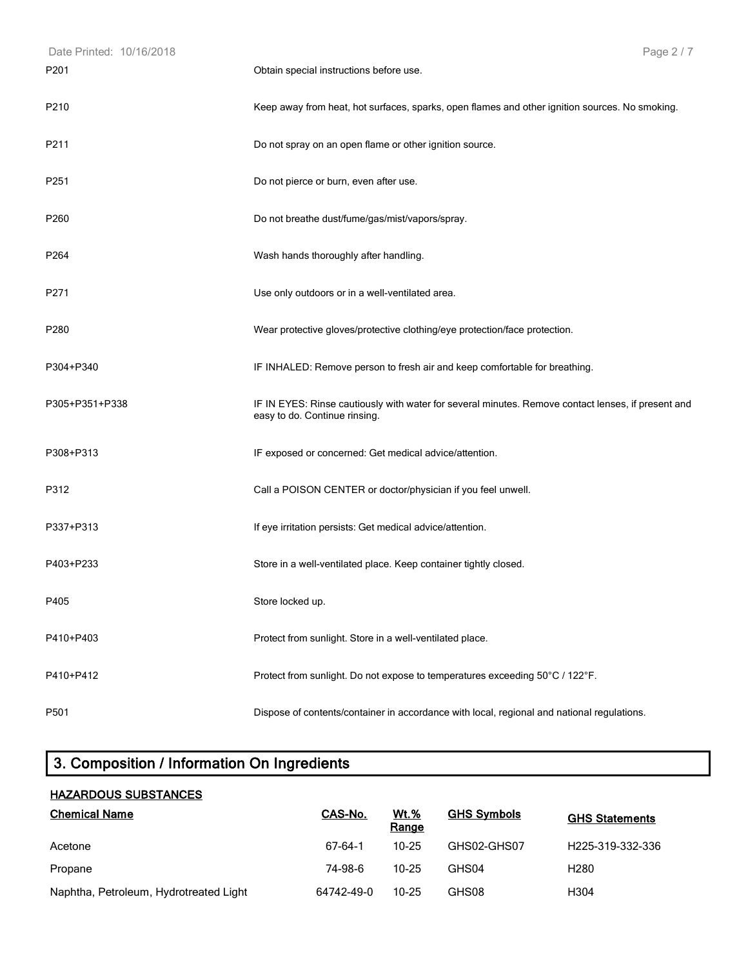| Date Printed: 10/16/2018 | Page 2 / 7                                                                                                                          |
|--------------------------|-------------------------------------------------------------------------------------------------------------------------------------|
| P <sub>201</sub>         | Obtain special instructions before use.                                                                                             |
| P210                     | Keep away from heat, hot surfaces, sparks, open flames and other ignition sources. No smoking.                                      |
| P211                     | Do not spray on an open flame or other ignition source.                                                                             |
| P251                     | Do not pierce or burn, even after use.                                                                                              |
| P260                     | Do not breathe dust/fume/gas/mist/vapors/spray.                                                                                     |
| P264                     | Wash hands thoroughly after handling.                                                                                               |
| P271                     | Use only outdoors or in a well-ventilated area.                                                                                     |
| P280                     | Wear protective gloves/protective clothing/eye protection/face protection.                                                          |
| P304+P340                | IF INHALED: Remove person to fresh air and keep comfortable for breathing.                                                          |
| P305+P351+P338           | IF IN EYES: Rinse cautiously with water for several minutes. Remove contact lenses, if present and<br>easy to do. Continue rinsing. |
| P308+P313                | IF exposed or concerned: Get medical advice/attention.                                                                              |
| P312                     | Call a POISON CENTER or doctor/physician if you feel unwell.                                                                        |
| P337+P313                | If eye irritation persists: Get medical advice/attention.                                                                           |
| P403+P233                | Store in a well-ventilated place. Keep container tightly closed.                                                                    |
| P405                     | Store locked up.                                                                                                                    |
| P410+P403                | Protect from sunlight. Store in a well-ventilated place.                                                                            |
| P410+P412                | Protect from sunlight. Do not expose to temperatures exceeding 50°C / 122°F.                                                        |
| P501                     | Dispose of contents/container in accordance with local, regional and national regulations.                                          |

# **3. Composition / Information On Ingredients**

## **HAZARDOUS SUBSTANCES Chemical Name CAS-No. Wt.% Range GHS Symbols GHS Statements** Acetone 67-64-1 10-25 GHS02-GHS07 H225-319-332-336 Propane 74-98-6 10-25 GHS04 H280 Naphtha, Petroleum, Hydrotreated Light 64742-49-0 10-25 GHS08 H304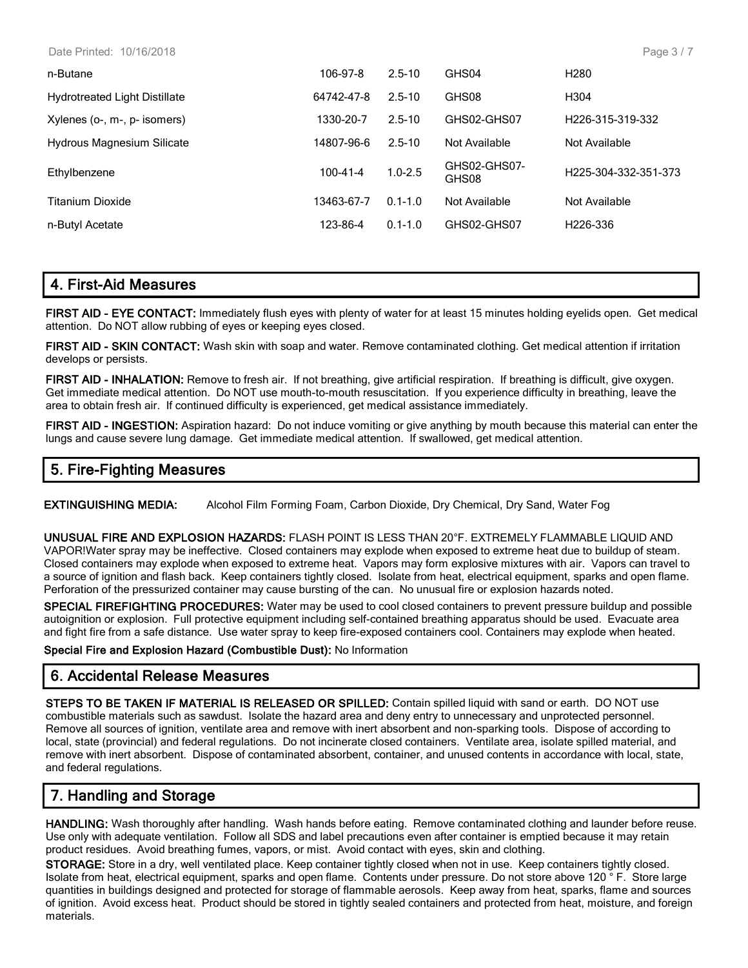| Date Printed: | 10/16/2018 |
|---------------|------------|
|---------------|------------|

| n-Butane                             | 106-97-8       | $2.5 - 10$  | GHS04                 | H <sub>280</sub>                  |
|--------------------------------------|----------------|-------------|-----------------------|-----------------------------------|
| <b>Hydrotreated Light Distillate</b> | 64742-47-8     | $2.5 - 10$  | GHS08                 | H <sub>304</sub>                  |
| Xylenes (o-, m-, p- isomers)         | 1330-20-7      | $2.5 - 10$  | GHS02-GHS07           | H <sub>226</sub> -315-319-332     |
| <b>Hydrous Magnesium Silicate</b>    | 14807-96-6     | $2.5 - 10$  | Not Available         | Not Available                     |
| Ethylbenzene                         | $100 - 41 - 4$ | $1.0 - 2.5$ | GHS02-GHS07-<br>GHS08 | H <sub>225</sub> -304-332-351-373 |
| <b>Titanium Dioxide</b>              | 13463-67-7     | $0.1 - 1.0$ | Not Available         | Not Available                     |
| n-Butyl Acetate                      | 123-86-4       | $0.1 - 1.0$ | GHS02-GHS07           | H <sub>226</sub> -336             |

## **4. First-Aid Measures**

**FIRST AID - EYE CONTACT:** Immediately flush eyes with plenty of water for at least 15 minutes holding eyelids open. Get medical attention. Do NOT allow rubbing of eyes or keeping eyes closed.

**FIRST AID - SKIN CONTACT:** Wash skin with soap and water. Remove contaminated clothing. Get medical attention if irritation develops or persists.

**FIRST AID - INHALATION:** Remove to fresh air. If not breathing, give artificial respiration. If breathing is difficult, give oxygen. Get immediate medical attention. Do NOT use mouth-to-mouth resuscitation. If you experience difficulty in breathing, leave the area to obtain fresh air. If continued difficulty is experienced, get medical assistance immediately.

**FIRST AID - INGESTION:** Aspiration hazard: Do not induce vomiting or give anything by mouth because this material can enter the lungs and cause severe lung damage. Get immediate medical attention. If swallowed, get medical attention.

## **5. Fire-Fighting Measures**

**EXTINGUISHING MEDIA:** Alcohol Film Forming Foam, Carbon Dioxide, Dry Chemical, Dry Sand, Water Fog

**UNUSUAL FIRE AND EXPLOSION HAZARDS:** FLASH POINT IS LESS THAN 20°F. EXTREMELY FLAMMABLE LIQUID AND VAPOR!Water spray may be ineffective. Closed containers may explode when exposed to extreme heat due to buildup of steam. Closed containers may explode when exposed to extreme heat. Vapors may form explosive mixtures with air. Vapors can travel to a source of ignition and flash back. Keep containers tightly closed. Isolate from heat, electrical equipment, sparks and open flame. Perforation of the pressurized container may cause bursting of the can. No unusual fire or explosion hazards noted.

**SPECIAL FIREFIGHTING PROCEDURES:** Water may be used to cool closed containers to prevent pressure buildup and possible autoignition or explosion. Full protective equipment including self-contained breathing apparatus should be used. Evacuate area and fight fire from a safe distance. Use water spray to keep fire-exposed containers cool. Containers may explode when heated.

**Special Fire and Explosion Hazard (Combustible Dust):** No Information

## **6. Accidental Release Measures**

**STEPS TO BE TAKEN IF MATERIAL IS RELEASED OR SPILLED:** Contain spilled liquid with sand or earth. DO NOT use combustible materials such as sawdust. Isolate the hazard area and deny entry to unnecessary and unprotected personnel. Remove all sources of ignition, ventilate area and remove with inert absorbent and non-sparking tools. Dispose of according to local, state (provincial) and federal regulations. Do not incinerate closed containers. Ventilate area, isolate spilled material, and remove with inert absorbent. Dispose of contaminated absorbent, container, and unused contents in accordance with local, state, and federal regulations.

## **7. Handling and Storage**

**HANDLING:** Wash thoroughly after handling. Wash hands before eating. Remove contaminated clothing and launder before reuse. Use only with adequate ventilation. Follow all SDS and label precautions even after container is emptied because it may retain product residues. Avoid breathing fumes, vapors, or mist. Avoid contact with eyes, skin and clothing.

**STORAGE:** Store in a dry, well ventilated place. Keep container tightly closed when not in use. Keep containers tightly closed. Isolate from heat, electrical equipment, sparks and open flame. Contents under pressure. Do not store above 120 ° F. Store large quantities in buildings designed and protected for storage of flammable aerosols. Keep away from heat, sparks, flame and sources of ignition. Avoid excess heat. Product should be stored in tightly sealed containers and protected from heat, moisture, and foreign materials.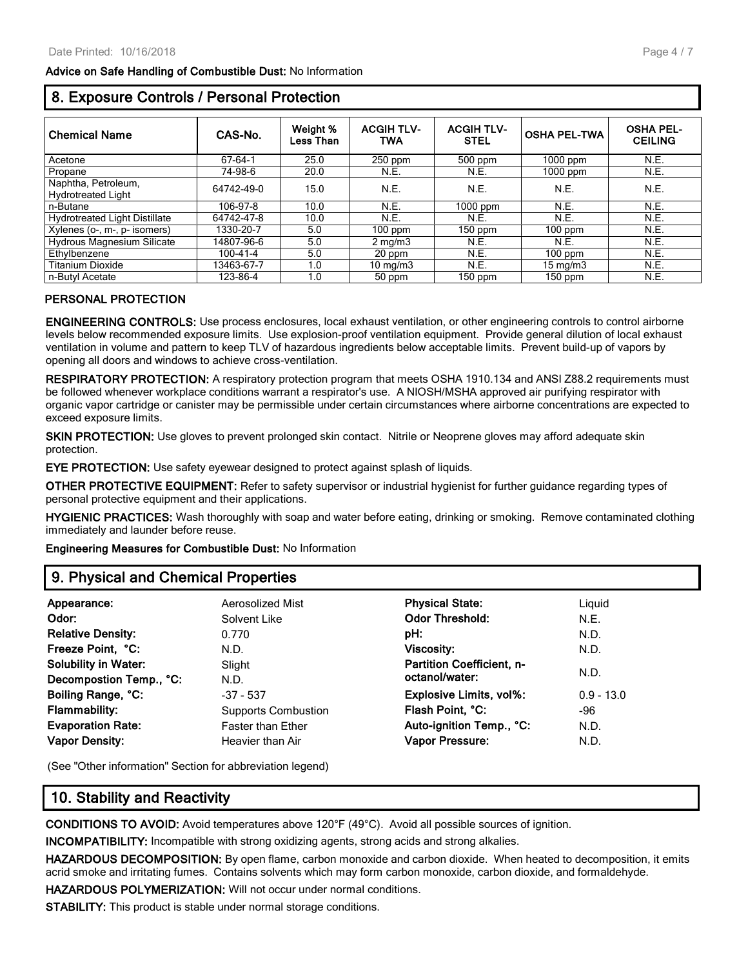#### **Advice on Safe Handling of Combustible Dust:** No Information

## **8. Exposure Controls / Personal Protection**

| <b>Chemical Name</b>                             | CAS-No.    | Weight %<br>Less Than | <b>ACGIH TLV-</b><br><b>TWA</b> | <b>ACGIH TLV-</b><br><b>STEL</b> | <b>OSHA PEL-TWA</b> | <b>OSHA PEL-</b><br><b>CEILING</b> |
|--------------------------------------------------|------------|-----------------------|---------------------------------|----------------------------------|---------------------|------------------------------------|
| Acetone                                          | 67-64-1    | 25.0                  | 250 ppm                         | $500$ ppm                        | $1000$ ppm          | N.E.                               |
| Propane                                          | 74-98-6    | 20.0                  | N.E.                            | N.E.                             | $1000$ ppm          | N.E.                               |
| Naphtha, Petroleum,<br><b>Hydrotreated Light</b> | 64742-49-0 | 15.0                  | N.E.                            | N.E.                             | N.E.                | N.E.                               |
| n-Butane                                         | 106-97-8   | 10.0                  | N.E.                            | $1000$ ppm                       | N.E.                | N.E.                               |
| <b>Hydrotreated Light Distillate</b>             | 64742-47-8 | 10.0                  | N.E.                            | N.E.                             | N.E.                | N.E.                               |
| Xylenes (o-, m-, p- isomers)                     | 1330-20-7  | 5.0                   | $100$ ppm                       | 150 ppm                          | $100$ ppm           | N.E.                               |
| <b>Hydrous Magnesium Silicate</b>                | 14807-96-6 | 5.0                   | $2 \text{ mg/m}$                | N.E.                             | N.E.                | N.E.                               |
| Ethylbenzene                                     | 100-41-4   | 5.0                   | 20 ppm                          | N.E.                             | $100$ ppm           | N.E.                               |
| <b>Titanium Dioxide</b>                          | 13463-67-7 | 1.0                   | $10 \text{ mg/m}$               | N.E.                             | $15 \text{ mg/m}$   | N.E.                               |
| n-Butvl Acetate                                  | 123-86-4   | 1.0                   | 50 ppm                          | $150$ ppm                        | $150$ ppm           | N.E.                               |

#### **PERSONAL PROTECTION**

**ENGINEERING CONTROLS:** Use process enclosures, local exhaust ventilation, or other engineering controls to control airborne levels below recommended exposure limits. Use explosion-proof ventilation equipment. Provide general dilution of local exhaust ventilation in volume and pattern to keep TLV of hazardous ingredients below acceptable limits. Prevent build-up of vapors by opening all doors and windows to achieve cross-ventilation.

**RESPIRATORY PROTECTION:** A respiratory protection program that meets OSHA 1910.134 and ANSI Z88.2 requirements must be followed whenever workplace conditions warrant a respirator's use. A NIOSH/MSHA approved air purifying respirator with organic vapor cartridge or canister may be permissible under certain circumstances where airborne concentrations are expected to exceed exposure limits.

**SKIN PROTECTION:** Use gloves to prevent prolonged skin contact. Nitrile or Neoprene gloves may afford adequate skin protection.

**EYE PROTECTION:** Use safety eyewear designed to protect against splash of liquids.

**OTHER PROTECTIVE EQUIPMENT:** Refer to safety supervisor or industrial hygienist for further guidance regarding types of personal protective equipment and their applications.

**HYGIENIC PRACTICES:** Wash thoroughly with soap and water before eating, drinking or smoking. Remove contaminated clothing immediately and launder before reuse.

**Engineering Measures for Combustible Dust:** No Information

## **9. Physical and Chemical Properties**

| Appearance:                 | Aerosolized Mist           | <b>Physical State:</b>           | Liquid       |
|-----------------------------|----------------------------|----------------------------------|--------------|
| Odor:                       | Solvent Like               | <b>Odor Threshold:</b>           | N.E.         |
| <b>Relative Density:</b>    | 0.770                      | pH:                              | N.D.         |
| Freeze Point, °C:           | N.D.                       | Viscosity:                       | N.D.         |
| <b>Solubility in Water:</b> | Slight                     | <b>Partition Coefficient. n-</b> |              |
| Decompostion Temp., °C:     | N.D.                       | octanol/water:                   | N.D.         |
| Boiling Range, °C:          | $-37 - 537$                | <b>Explosive Limits, vol%:</b>   | $0.9 - 13.0$ |
| <b>Flammability:</b>        | <b>Supports Combustion</b> | Flash Point, °C:                 | -96          |
| <b>Evaporation Rate:</b>    | <b>Faster than Ether</b>   | Auto-ignition Temp., °C:         | N.D.         |
| <b>Vapor Density:</b>       | Heavier than Air           | <b>Vapor Pressure:</b>           | N.D.         |
|                             |                            |                                  |              |

(See "Other information" Section for abbreviation legend)

## **10. Stability and Reactivity**

**CONDITIONS TO AVOID:** Avoid temperatures above 120°F (49°C). Avoid all possible sources of ignition.

**INCOMPATIBILITY:** Incompatible with strong oxidizing agents, strong acids and strong alkalies.

**HAZARDOUS DECOMPOSITION:** By open flame, carbon monoxide and carbon dioxide. When heated to decomposition, it emits acrid smoke and irritating fumes. Contains solvents which may form carbon monoxide, carbon dioxide, and formaldehyde.

**HAZARDOUS POLYMERIZATION:** Will not occur under normal conditions.

**STABILITY:** This product is stable under normal storage conditions.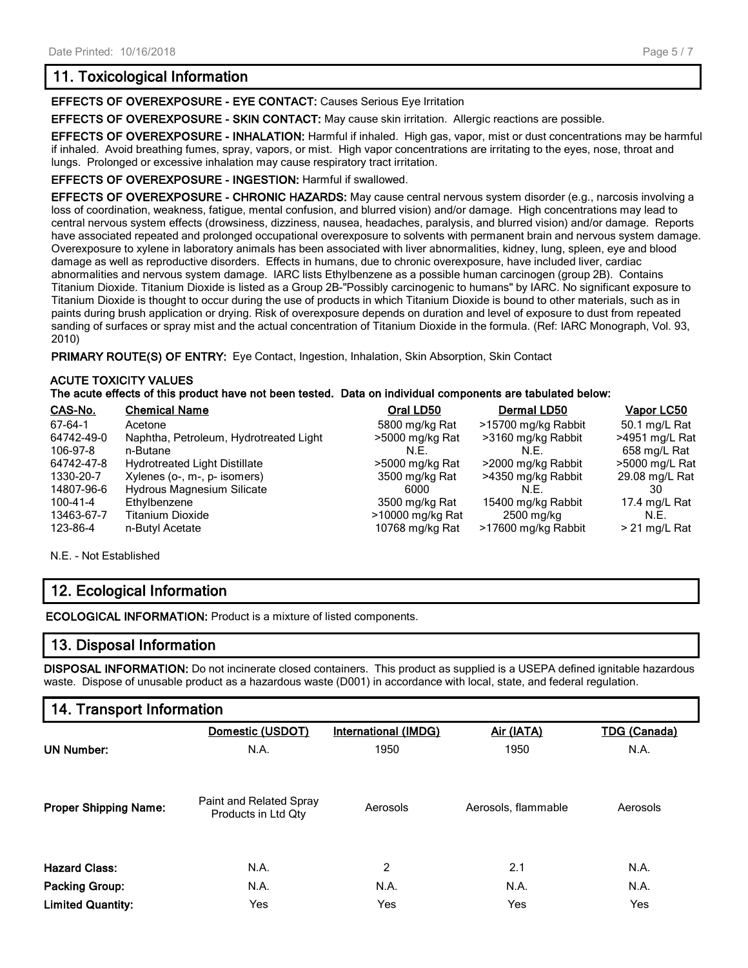## **11. Toxicological Information**

**EFFECTS OF OVEREXPOSURE - EYE CONTACT:** Causes Serious Eye Irritation

**EFFECTS OF OVEREXPOSURE - SKIN CONTACT:** May cause skin irritation. Allergic reactions are possible.

**EFFECTS OF OVEREXPOSURE - INHALATION:** Harmful if inhaled. High gas, vapor, mist or dust concentrations may be harmful if inhaled. Avoid breathing fumes, spray, vapors, or mist. High vapor concentrations are irritating to the eyes, nose, throat and lungs. Prolonged or excessive inhalation may cause respiratory tract irritation.

#### **EFFECTS OF OVEREXPOSURE - INGESTION:** Harmful if swallowed.

**EFFECTS OF OVEREXPOSURE - CHRONIC HAZARDS:** May cause central nervous system disorder (e.g., narcosis involving a loss of coordination, weakness, fatigue, mental confusion, and blurred vision) and/or damage. High concentrations may lead to central nervous system effects (drowsiness, dizziness, nausea, headaches, paralysis, and blurred vision) and/or damage. Reports have associated repeated and prolonged occupational overexposure to solvents with permanent brain and nervous system damage. Overexposure to xylene in laboratory animals has been associated with liver abnormalities, kidney, lung, spleen, eye and blood damage as well as reproductive disorders. Effects in humans, due to chronic overexposure, have included liver, cardiac abnormalities and nervous system damage. IARC lists Ethylbenzene as a possible human carcinogen (group 2B). Contains Titanium Dioxide. Titanium Dioxide is listed as a Group 2B-"Possibly carcinogenic to humans" by IARC. No significant exposure to Titanium Dioxide is thought to occur during the use of products in which Titanium Dioxide is bound to other materials, such as in paints during brush application or drying. Risk of overexposure depends on duration and level of exposure to dust from repeated sanding of surfaces or spray mist and the actual concentration of Titanium Dioxide in the formula. (Ref: IARC Monograph, Vol. 93, 2010)

PRIMARY ROUTE(S) OF ENTRY: Eye Contact, Ingestion, Inhalation, Skin Absorption, Skin Contact

#### **ACUTE TOXICITY VALUES The acute effects of this product have not been tested. Data on individual components are tabulated below:**

| CAS-No.    | <b>Chemical Name</b>                   | Oral LD50        | Dermal LD50         | Vapor LC50      |
|------------|----------------------------------------|------------------|---------------------|-----------------|
| 67-64-1    | Acetone                                | 5800 mg/kg Rat   | >15700 mg/kg Rabbit | 50.1 mg/L Rat   |
| 64742-49-0 | Naphtha, Petroleum, Hydrotreated Light | >5000 mg/kg Rat  | >3160 mg/kg Rabbit  | >4951 mg/L Rat  |
| 106-97-8   | n-Butane                               | N.F.             | N.E.                | 658 mg/L Rat    |
| 64742-47-8 | <b>Hydrotreated Light Distillate</b>   | >5000 mg/kg Rat  | >2000 mg/kg Rabbit  | >5000 mg/L Rat  |
| 1330-20-7  | Xylenes (o-, m-, p- isomers)           | 3500 mg/kg Rat   | >4350 mg/kg Rabbit  | 29.08 mg/L Rat  |
| 14807-96-6 | Hydrous Magnesium Silicate             | 6000             | N.E.                | 30              |
| 100-41-4   | Ethylbenzene                           | 3500 mg/kg Rat   | 15400 mg/kg Rabbit  | 17.4 mg/L Rat   |
| 13463-67-7 | <b>Titanium Dioxide</b>                | >10000 mg/kg Rat | 2500 mg/kg          | N.E.            |
| 123-86-4   | n-Butyl Acetate                        | 10768 mg/kg Rat  | >17600 mg/kg Rabbit | $> 21$ mg/L Rat |

N.E. - Not Established

## **12. Ecological Information**

**ECOLOGICAL INFORMATION:** Product is a mixture of listed components.

## **13. Disposal Information**

**DISPOSAL INFORMATION:** Do not incinerate closed containers. This product as supplied is a USEPA defined ignitable hazardous waste. Dispose of unusable product as a hazardous waste (D001) in accordance with local, state, and federal regulation.

## **14. Transport Information**

|                              | Domestic (USDOT)                               | <b>International (IMDG)</b> | Air (IATA)          | <b>TDG (Canada)</b> |
|------------------------------|------------------------------------------------|-----------------------------|---------------------|---------------------|
| <b>UN Number:</b>            | N.A.                                           | 1950                        | 1950                | N.A.                |
| <b>Proper Shipping Name:</b> | Paint and Related Spray<br>Products in Ltd Qty | Aerosols                    | Aerosols, flammable | Aerosols            |
| <b>Hazard Class:</b>         | N.A.                                           | 2                           | 2.1                 | N.A.                |
| <b>Packing Group:</b>        | N.A.                                           | N.A.                        | N.A.                | N.A.                |
| <b>Limited Quantity:</b>     | Yes                                            | Yes                         | Yes                 | Yes                 |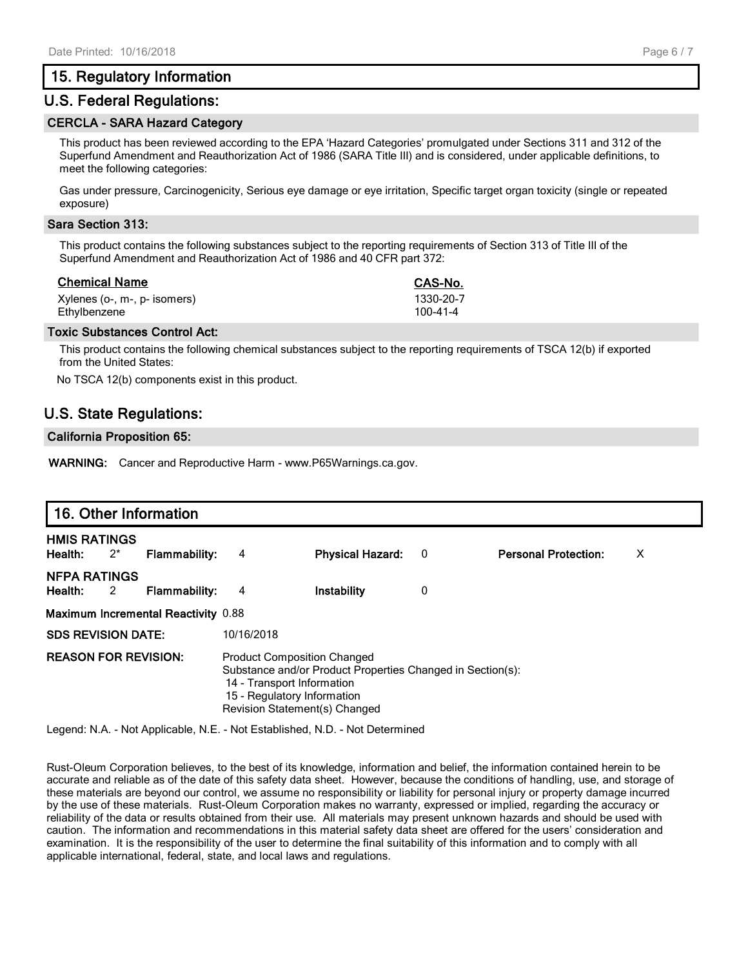#### **15. Regulatory Information**

#### **U.S. Federal Regulations:**

#### **CERCLA - SARA Hazard Category**

This product has been reviewed according to the EPA 'Hazard Categories' promulgated under Sections 311 and 312 of the Superfund Amendment and Reauthorization Act of 1986 (SARA Title III) and is considered, under applicable definitions, to meet the following categories:

Gas under pressure, Carcinogenicity, Serious eye damage or eye irritation, Specific target organ toxicity (single or repeated exposure)

#### **Sara Section 313:**

This product contains the following substances subject to the reporting requirements of Section 313 of Title III of the Superfund Amendment and Reauthorization Act of 1986 and 40 CFR part 372:

| Chemical Name                | CAS-No.   |
|------------------------------|-----------|
| Xylenes (o-, m-, p- isomers) | 1330-20-7 |
| Ethylbenzene                 | 100-41-4  |

#### **Toxic Substances Control Act:**

This product contains the following chemical substances subject to the reporting requirements of TSCA 12(b) if exported from the United States:

No TSCA 12(b) components exist in this product.

### **U.S. State Regulations:**

#### **California Proposition 65:**

**WARNING:** Cancer and Reproductive Harm - www.P65Warnings.ca.gov.

|                                         | 16. Other Information                      |            |                                                                                                                                                                                                |   |                             |   |  |
|-----------------------------------------|--------------------------------------------|------------|------------------------------------------------------------------------------------------------------------------------------------------------------------------------------------------------|---|-----------------------------|---|--|
| <b>HMIS RATINGS</b><br>Health:<br>$2^*$ | <b>Flammability:</b>                       | 4          | <b>Physical Hazard:</b>                                                                                                                                                                        | 0 | <b>Personal Protection:</b> | X |  |
| <b>NFPA RATINGS</b><br>Health:<br>2     | <b>Flammability:</b>                       | 4          | Instability                                                                                                                                                                                    | 0 |                             |   |  |
|                                         | <b>Maximum Incremental Reactivity 0.88</b> |            |                                                                                                                                                                                                |   |                             |   |  |
| <b>SDS REVISION DATE:</b>               |                                            | 10/16/2018 |                                                                                                                                                                                                |   |                             |   |  |
|                                         | <b>REASON FOR REVISION:</b>                |            | <b>Product Composition Changed</b><br>Substance and/or Product Properties Changed in Section(s):<br>14 - Transport Information<br>15 - Regulatory Information<br>Revision Statement(s) Changed |   |                             |   |  |

Legend: N.A. - Not Applicable, N.E. - Not Established, N.D. - Not Determined

Rust-Oleum Corporation believes, to the best of its knowledge, information and belief, the information contained herein to be accurate and reliable as of the date of this safety data sheet. However, because the conditions of handling, use, and storage of these materials are beyond our control, we assume no responsibility or liability for personal injury or property damage incurred by the use of these materials. Rust-Oleum Corporation makes no warranty, expressed or implied, regarding the accuracy or reliability of the data or results obtained from their use. All materials may present unknown hazards and should be used with caution. The information and recommendations in this material safety data sheet are offered for the users' consideration and examination. It is the responsibility of the user to determine the final suitability of this information and to comply with all applicable international, federal, state, and local laws and regulations.

| CAS-No.   |
|-----------|
| 1330-20-7 |
| 100-41-4  |